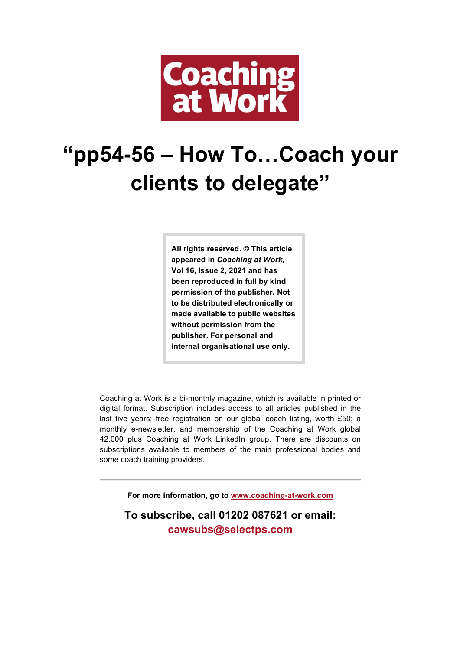

## **"pp54-56 – How To…Coach your clients to delegate"**

**All rights reserved. © This article appeared in** *Coaching at Work,*  **Vol 16, Issue 2, 2021 and has been reproduced in full by kind permission of the publisher. Not to be distributed electronically or made available to public websites without permission from the publisher. For personal and internal organisational use only.**

Coaching at Work is a bi-monthly magazine, which is available in printed or digital format. Subscription includes access to all articles published in the last five years; free registration on our global coach listing, worth £50; a monthly e-newsletter, and membership of the Coaching at Work global 42,000 plus Coaching at Work LinkedIn group. There are discounts on subscriptions available to members of the main professional bodies and some coach training providers.

**For more information, go to www.coaching-at-work.com**

**To subscribe, call 01202 087621 or email: cawsubs@selectps.com**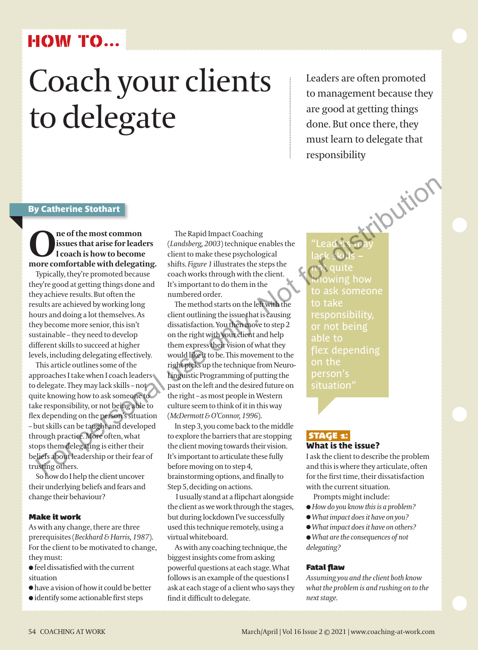## **HOW TO...**

# Coach your clients to delegate

Leaders are often promoted to management because they are good at getting things done. But once there, they must learn to delegate that responsibility

#### By Catherine Stothart

**O**<br> **I** coach is how to become<br>
more comfortable with delegating. **issues that arise for leaders I coach is how to become** 

Typically, they're promoted because they're good at getting things done and they achieve results. But often the results are achieved by working long hours and doing a lot themselves. As they become more senior, this isn't sustainable – they need to develop different skills to succeed at higher levels, including delegating effectively.

This article outlines some of the approaches I take when I coach leaders to delegate. They may lack skills – not quite knowing how to ask someone to take responsibility, or not being able to flex depending on the person's situation – but skills can be taught and developed through practice. More often, what stops them delegating is either their beliefs about leadership or their fear of trusting others.

So how do I help the client uncover their underlying beliefs and fears and change their behaviour?

#### **Make it work**

As with any change, there are three prerequisites (*Beckhard & Harris, 1987*). For the client to be motivated to change, they must:

- $\bullet$  feel dissatisfied with the current situation
- $\bullet$  have a vision of how it could be better
- $\bullet$  identify some actionable first steps

The Rapid Impact Coaching (*Landsberg, 2003*) technique enables the client to make these psychological shifts. *Figure 1* illustrates the steps the coach works through with the client. It's important to do them in the numbered order.

The method starts on the left with the client outlining the issue that is causing dissatisfaction. You then move to step 2 on the right with your client and help them express their vision of what they would like it to be. This movement to the right picks up the technique from Neuro-Linguistic Programming of putting the past on the left and the desired future on the right – as most people in Western culture seem to think of it in this way (*McDermott & O'Connor, 1996*). **y Catherine Stothart**<br> **Source from the most common distribution** in the Rapid Impact Coaching<br>
issues that arise for leaders<br>
from the most common dietric make these personeological<br>
ore comfortable with delegating. shi

In step 3, you come back to the middle to explore the barriers that are stopping the client moving towards their vision. It's important to articulate these fully before moving on to step 4, brainstorming options, and finally to Step 5, deciding on actions.

I usually stand at a flipchart alongside the client as we work through the stages, but during lockdown I've successfully used this technique remotely, using a virtual whiteboard.

As with any coaching technique, the biggest insights come from asking powerful questions at each stage. What follows is an example of the questions I ask at each stage of a client who says they find it difficult to delegate.

"Leaders may lack skills – not quite owing how to ask someone to take responsibility, or not being able to on the person's situation"

### **STAGE 1:**

What is the issue?

I ask the client to describe the problem and this is where they articulate, often for the first time, their dissatisfaction with the current situation.

- Prompts might include:
- l *How do you know this is a problem?*
- l*What impact does it have on you?*
- l*What impact does it have on others?*
- l*What are the consequences of not*
- *delegating?*

#### **Fatal flaw**

*Assuming you and the client both know what the problem is and rushing on to the next stage.*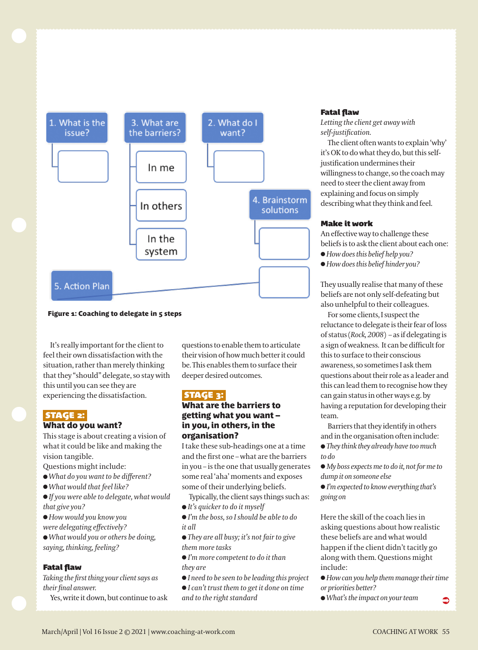

#### Figure 1: Coaching to delegate in 5 steps

It's really important for the client to feel their own dissatisfaction with the situation, rather than merely thinking that they "should" delegate, so stay with this until you can see they are experiencing the dissatisfaction.

#### **Stage 2:**

#### What do you want?

This stage is about creating a vision of what it could be like and making the vision tangible.

Questions might include:

- l *What do you want to be different?*
- l *What would that feel like?*
- l *If you were able to delegate, what would that give you?*
- l *How would you know you*
- *were delegating effectively?*
- l *What would you or others be doing, saying, thinking, feeling?*

#### **Fatal flaw**

*Taking the first thing your client says as their final answer.* 

Yes, write it down, but continue to ask

questions to enable them to articulate their vision of how much better it could be. This enables them to surface their deeper desired outcomes.

#### **Stage 3:**

#### What are the barriers to getting what you want – in you, in others, in the organisation?

I take these sub-headings one at a time and the first one – what are the barriers in you – is the one that usually generates some real 'aha' moments and exposes some of their underlying beliefs.

Typically, the client says things such as:

l *It's quicker to do it myself*

l *I'm the boss, so I should be able to do it all*

l *They are all busy; it's not fair to give them more tasks*

l *I'm more competent to do it than they are*

- l *I need to be seen to be leading this project*
- l *I can't trust them to get it done on time and to the right standard*

#### **Fatal flaw**

*Letting the client get away with self-justification.*

The client often wants to explain 'why' it's OK to do what they do, but this selfjustification undermines their willingness to change, so the coach may need to steer the client away from explaining and focus on simply describing what they think and feel.

#### **Make it work**

An effective way to challenge these beliefs is to ask the client about each one: l *How does this belief help you?*

l *How does this belief hinder you?*

They usually realise that many of these beliefs are not only self-defeating but also unhelpful to their colleagues.

For some clients, I suspect the reluctance to delegate is their fear of loss of status (*Rock, 2008*) – as if delegating is a sign of weakness. It can be difficult for this to surface to their conscious awareness, so sometimes I ask them questions about their role as a leader and this can lead them to recognise how they can gain status in other ways e.g. by having a reputation for developing their team.

Barriers that they identify in others and in the organisation often include: l *They think they already have too much to do*

l *My boss expects me to do it, not for me to dump it on someone else*

l *I'm expected to know everything that's going on*

Here the skill of the coach lies in asking questions about how realistic these beliefs are and what would happen if the client didn't tacitly go along with them. Questions might include:

l *How can you help them manage their time or priorities better?*

l *What's the impact on your team*   $\bullet$